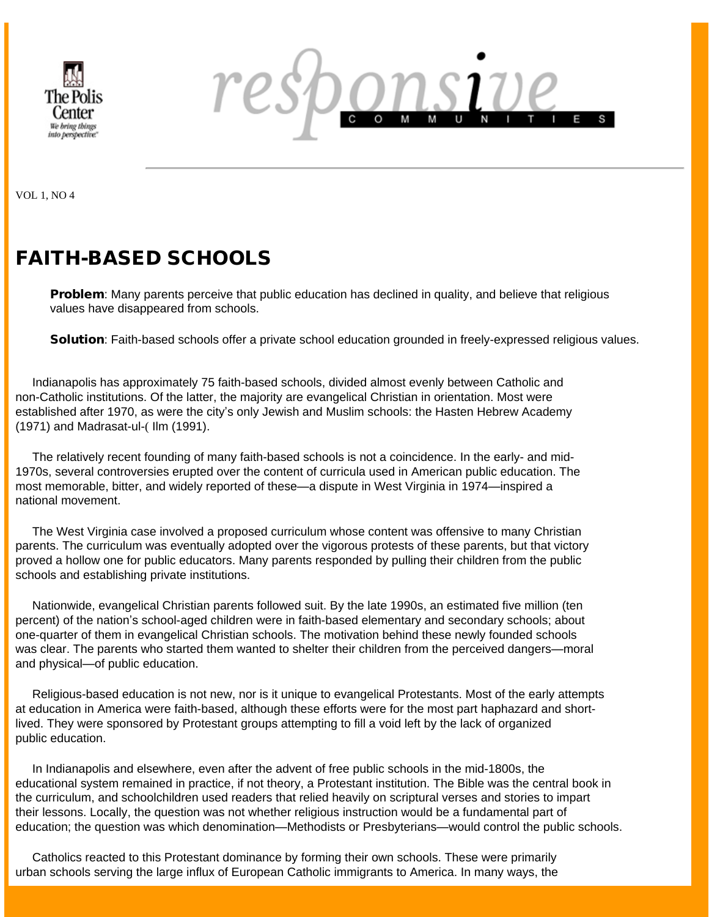



VOL 1, NO 4

# FAITH-BASED SCHOOLS

**Problem:** Many parents perceive that public education has declined in quality, and believe that religious values have disappeared from schools.

Solution: Faith-based schools offer a private school education grounded in freely-expressed religious values.

 Indianapolis has approximately 75 faith-based schools, divided almost evenly between Catholic and non-Catholic institutions. Of the latter, the majority are evangelical Christian in orientation. Most were established after 1970, as were the city's only Jewish and Muslim schools: the Hasten Hebrew Academy (1971) and Madrasat-ul-( Ilm (1991).

 The relatively recent founding of many faith-based schools is not a coincidence. In the early- and mid-1970s, several controversies erupted over the content of curricula used in American public education. The most memorable, bitter, and widely reported of these—a dispute in West Virginia in 1974—inspired a national movement.

 The West Virginia case involved a proposed curriculum whose content was offensive to many Christian parents. The curriculum was eventually adopted over the vigorous protests of these parents, but that victory proved a hollow one for public educators. Many parents responded by pulling their children from the public schools and establishing private institutions.

 Nationwide, evangelical Christian parents followed suit. By the late 1990s, an estimated five million (ten percent) of the nation's school-aged children were in faith-based elementary and secondary schools; about one-quarter of them in evangelical Christian schools. The motivation behind these newly founded schools was clear. The parents who started them wanted to shelter their children from the perceived dangers—moral and physical—of public education.

 Religious-based education is not new, nor is it unique to evangelical Protestants. Most of the early attempts at education in America were faith-based, although these efforts were for the most part haphazard and shortlived. They were sponsored by Protestant groups attempting to fill a void left by the lack of organized public education.

 In Indianapolis and elsewhere, even after the advent of free public schools in the mid-1800s, the educational system remained in practice, if not theory, a Protestant institution. The Bible was the central book in the curriculum, and schoolchildren used readers that relied heavily on scriptural verses and stories to impart their lessons. Locally, the question was not whether religious instruction would be a fundamental part of education; the question was which denomination—Methodists or Presbyterians—would control the public schools.

 Catholics reacted to this Protestant dominance by forming their own schools. These were primarily urban schools serving the large influx of European Catholic immigrants to America. In many ways, the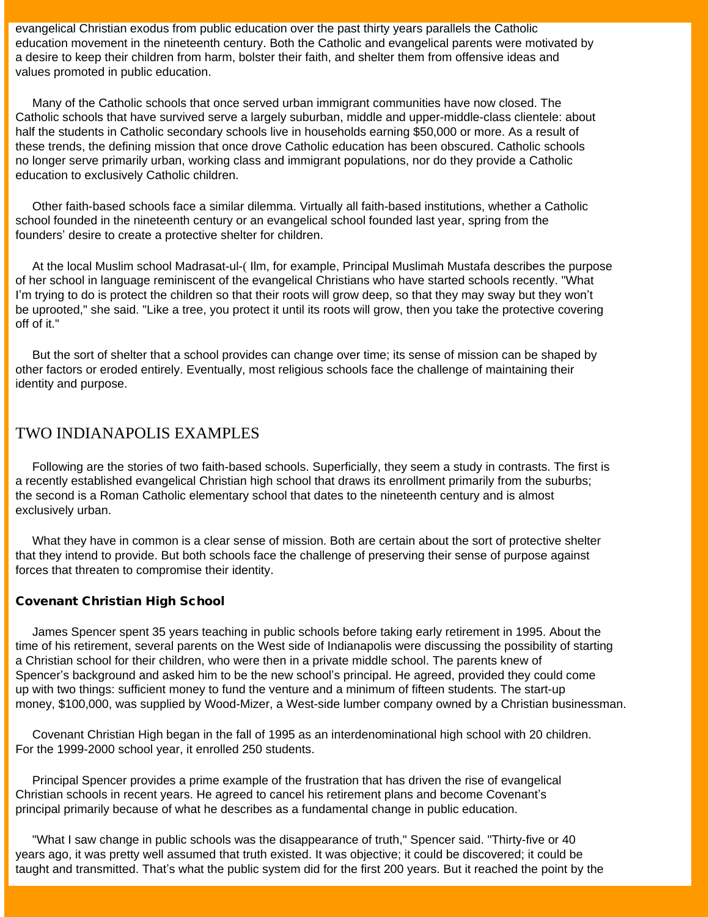evangelical Christian exodus from public education over the past thirty years parallels the Catholic education movement in the nineteenth century. Both the Catholic and evangelical parents were motivated by a desire to keep their children from harm, bolster their faith, and shelter them from offensive ideas and values promoted in public education.

 Many of the Catholic schools that once served urban immigrant communities have now closed. The Catholic schools that have survived serve a largely suburban, middle and upper-middle-class clientele: about half the students in Catholic secondary schools live in households earning \$50,000 or more. As a result of these trends, the defining mission that once drove Catholic education has been obscured. Catholic schools no longer serve primarily urban, working class and immigrant populations, nor do they provide a Catholic education to exclusively Catholic children.

 Other faith-based schools face a similar dilemma. Virtually all faith-based institutions, whether a Catholic school founded in the nineteenth century or an evangelical school founded last year, spring from the founders' desire to create a protective shelter for children.

 At the local Muslim school Madrasat-ul-( Ilm, for example, Principal Muslimah Mustafa describes the purpose of her school in language reminiscent of the evangelical Christians who have started schools recently. "What I'm trying to do is protect the children so that their roots will grow deep, so that they may sway but they won't be uprooted," she said. "Like a tree, you protect it until its roots will grow, then you take the protective covering off of it."

 But the sort of shelter that a school provides can change over time; its sense of mission can be shaped by other factors or eroded entirely. Eventually, most religious schools face the challenge of maintaining their identity and purpose.

### TWO INDIANAPOLIS EXAMPLES

 Following are the stories of two faith-based schools. Superficially, they seem a study in contrasts. The first is a recently established evangelical Christian high school that draws its enrollment primarily from the suburbs; the second is a Roman Catholic elementary school that dates to the nineteenth century and is almost exclusively urban.

 What they have in common is a clear sense of mission. Both are certain about the sort of protective shelter that they intend to provide. But both schools face the challenge of preserving their sense of purpose against forces that threaten to compromise their identity.

#### Covenant Christian High School

 James Spencer spent 35 years teaching in public schools before taking early retirement in 1995. About the time of his retirement, several parents on the West side of Indianapolis were discussing the possibility of starting a Christian school for their children, who were then in a private middle school. The parents knew of Spencer's background and asked him to be the new school's principal. He agreed, provided they could come up with two things: sufficient money to fund the venture and a minimum of fifteen students. The start-up money, \$100,000, was supplied by Wood-Mizer, a West-side lumber company owned by a Christian businessman.

 Covenant Christian High began in the fall of 1995 as an interdenominational high school with 20 children. For the 1999-2000 school year, it enrolled 250 students.

 Principal Spencer provides a prime example of the frustration that has driven the rise of evangelical Christian schools in recent years. He agreed to cancel his retirement plans and become Covenant's principal primarily because of what he describes as a fundamental change in public education.

 "What I saw change in public schools was the disappearance of truth," Spencer said. "Thirty-five or 40 years ago, it was pretty well assumed that truth existed. It was objective; it could be discovered; it could be taught and transmitted. That's what the public system did for the first 200 years. But it reached the point by the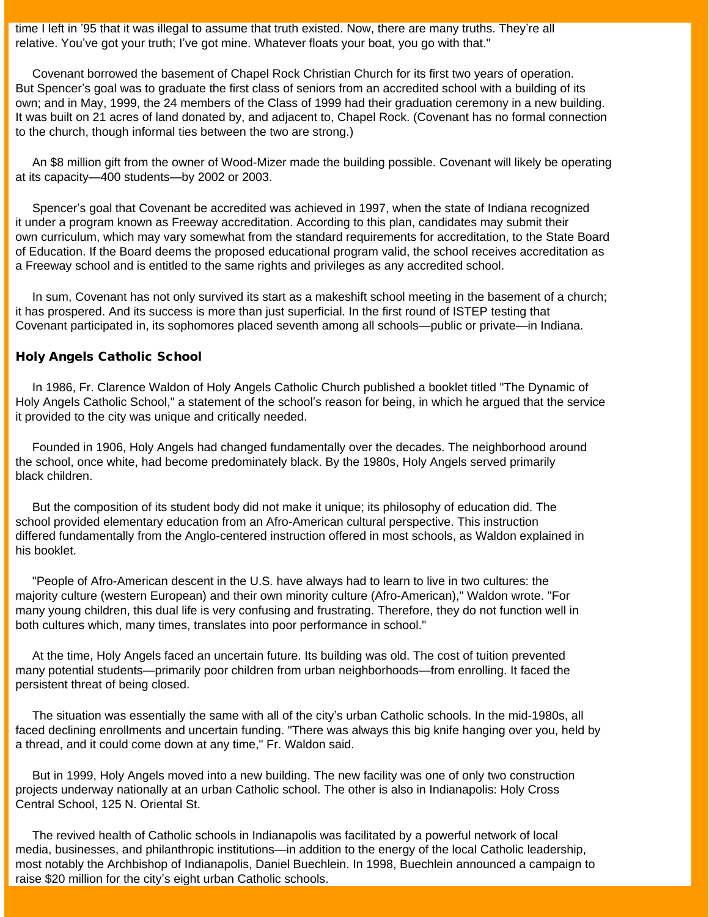time I left in '95 that it was illegal to assume that truth existed. Now, there are many truths. They're all relative. You've got your truth; I've got mine. Whatever floats your boat, you go with that."

 Covenant borrowed the basement of Chapel Rock Christian Church for its first two years of operation. But Spencer's goal was to graduate the first class of seniors from an accredited school with a building of its own; and in May, 1999, the 24 members of the Class of 1999 had their graduation ceremony in a new building. It was built on 21 acres of land donated by, and adjacent to, Chapel Rock. (Covenant has no formal connection to the church, though informal ties between the two are strong.)

 An \$8 million gift from the owner of Wood-Mizer made the building possible. Covenant will likely be operating at its capacity—400 students—by 2002 or 2003.

 Spencer's goal that Covenant be accredited was achieved in 1997, when the state of Indiana recognized it under a program known as Freeway accreditation. According to this plan, candidates may submit their own curriculum, which may vary somewhat from the standard requirements for accreditation, to the State Board of Education. If the Board deems the proposed educational program valid, the school receives accreditation as a Freeway school and is entitled to the same rights and privileges as any accredited school.

 In sum, Covenant has not only survived its start as a makeshift school meeting in the basement of a church; it has prospered. And its success is more than just superficial. In the first round of ISTEP testing that Covenant participated in, its sophomores placed seventh among all schools—public or private—in Indiana.

#### Holy Angels Catholic School

 In 1986, Fr. Clarence Waldon of Holy Angels Catholic Church published a booklet titled "The Dynamic of Holy Angels Catholic School," a statement of the school's reason for being, in which he argued that the service it provided to the city was unique and critically needed.

 Founded in 1906, Holy Angels had changed fundamentally over the decades. The neighborhood around the school, once white, had become predominately black. By the 1980s, Holy Angels served primarily black children.

 But the composition of its student body did not make it unique; its philosophy of education did. The school provided elementary education from an Afro-American cultural perspective. This instruction differed fundamentally from the Anglo-centered instruction offered in most schools, as Waldon explained in his booklet.

 "People of Afro-American descent in the U.S. have always had to learn to live in two cultures: the majority culture (western European) and their own minority culture (Afro-American)," Waldon wrote. "For many young children, this dual life is very confusing and frustrating. Therefore, they do not function well in both cultures which, many times, translates into poor performance in school."

 At the time, Holy Angels faced an uncertain future. Its building was old. The cost of tuition prevented many potential students—primarily poor children from urban neighborhoods—from enrolling. It faced the persistent threat of being closed.

 The situation was essentially the same with all of the city's urban Catholic schools. In the mid-1980s, all faced declining enrollments and uncertain funding. "There was always this big knife hanging over you, held by a thread, and it could come down at any time," Fr. Waldon said.

 But in 1999, Holy Angels moved into a new building. The new facility was one of only two construction projects underway nationally at an urban Catholic school. The other is also in Indianapolis: Holy Cross Central School, 125 N. Oriental St.

 The revived health of Catholic schools in Indianapolis was facilitated by a powerful network of local media, businesses, and philanthropic institutions—in addition to the energy of the local Catholic leadership, most notably the Archbishop of Indianapolis, Daniel Buechlein. In 1998, Buechlein announced a campaign to raise \$20 million for the city's eight urban Catholic schools.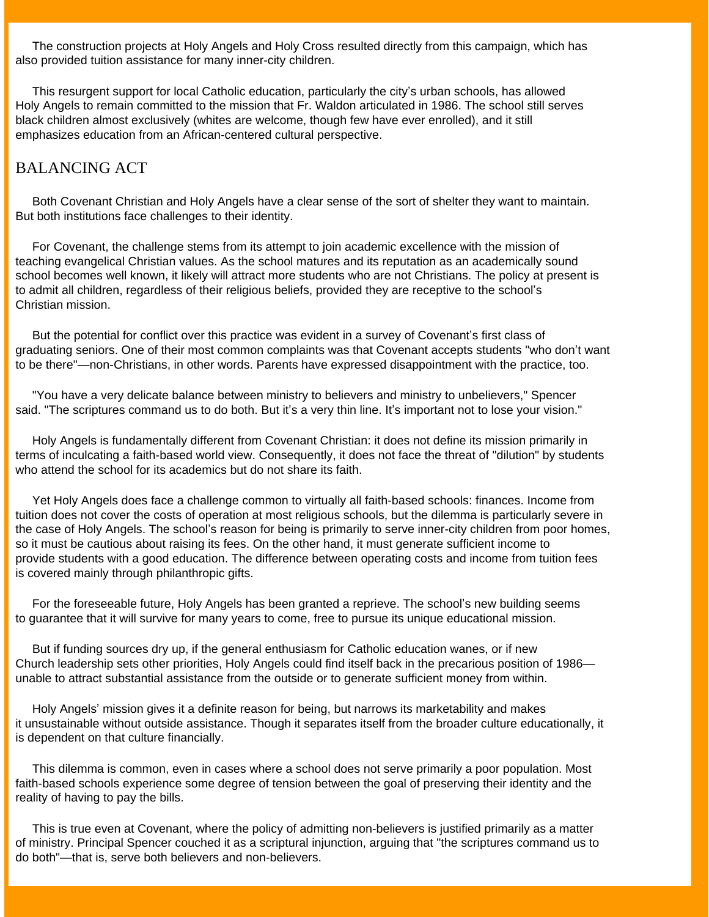The construction projects at Holy Angels and Holy Cross resulted directly from this campaign, which has also provided tuition assistance for many inner-city children.

 This resurgent support for local Catholic education, particularly the city's urban schools, has allowed Holy Angels to remain committed to the mission that Fr. Waldon articulated in 1986. The school still serves black children almost exclusively (whites are welcome, though few have ever enrolled), and it still emphasizes education from an African-centered cultural perspective.

# BALANCING ACT

 Both Covenant Christian and Holy Angels have a clear sense of the sort of shelter they want to maintain. But both institutions face challenges to their identity.

 For Covenant, the challenge stems from its attempt to join academic excellence with the mission of teaching evangelical Christian values. As the school matures and its reputation as an academically sound school becomes well known, it likely will attract more students who are not Christians. The policy at present is to admit all children, regardless of their religious beliefs, provided they are receptive to the school's Christian mission.

 But the potential for conflict over this practice was evident in a survey of Covenant's first class of graduating seniors. One of their most common complaints was that Covenant accepts students "who don't want to be there"—non-Christians, in other words. Parents have expressed disappointment with the practice, too.

 "You have a very delicate balance between ministry to believers and ministry to unbelievers," Spencer said. "The scriptures command us to do both. But it's a very thin line. It's important not to lose your vision."

 Holy Angels is fundamentally different from Covenant Christian: it does not define its mission primarily in terms of inculcating a faith-based world view. Consequently, it does not face the threat of "dilution" by students who attend the school for its academics but do not share its faith.

 Yet Holy Angels does face a challenge common to virtually all faith-based schools: finances. Income from tuition does not cover the costs of operation at most religious schools, but the dilemma is particularly severe in the case of Holy Angels. The school's reason for being is primarily to serve inner-city children from poor homes, so it must be cautious about raising its fees. On the other hand, it must generate sufficient income to provide students with a good education. The difference between operating costs and income from tuition fees is covered mainly through philanthropic gifts.

 For the foreseeable future, Holy Angels has been granted a reprieve. The school's new building seems to guarantee that it will survive for many years to come, free to pursue its unique educational mission.

 But if funding sources dry up, if the general enthusiasm for Catholic education wanes, or if new Church leadership sets other priorities, Holy Angels could find itself back in the precarious position of 1986 unable to attract substantial assistance from the outside or to generate sufficient money from within.

 Holy Angels' mission gives it a definite reason for being, but narrows its marketability and makes it unsustainable without outside assistance. Though it separates itself from the broader culture educationally, it is dependent on that culture financially.

 This dilemma is common, even in cases where a school does not serve primarily a poor population. Most faith-based schools experience some degree of tension between the goal of preserving their identity and the reality of having to pay the bills.

 This is true even at Covenant, where the policy of admitting non-believers is justified primarily as a matter of ministry. Principal Spencer couched it as a scriptural injunction, arguing that "the scriptures command us to do both"—that is, serve both believers and non-believers.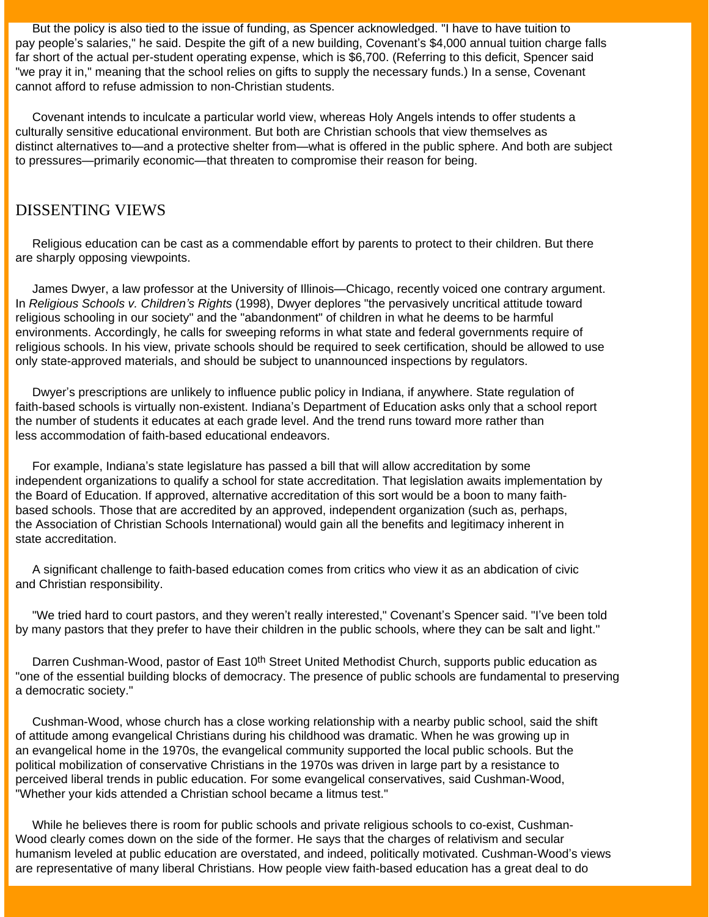But the policy is also tied to the issue of funding, as Spencer acknowledged. "I have to have tuition to pay people's salaries," he said. Despite the gift of a new building, Covenant's \$4,000 annual tuition charge falls far short of the actual per-student operating expense, which is \$6,700. (Referring to this deficit, Spencer said "we pray it in," meaning that the school relies on gifts to supply the necessary funds.) In a sense, Covenant cannot afford to refuse admission to non-Christian students.

 Covenant intends to inculcate a particular world view, whereas Holy Angels intends to offer students a culturally sensitive educational environment. But both are Christian schools that view themselves as distinct alternatives to—and a protective shelter from—what is offered in the public sphere. And both are subject to pressures—primarily economic—that threaten to compromise their reason for being.

### DISSENTING VIEWS

 Religious education can be cast as a commendable effort by parents to protect to their children. But there are sharply opposing viewpoints.

 James Dwyer, a law professor at the University of Illinois—Chicago, recently voiced one contrary argument. In *Religious Schools v. Children's Rights* (1998), Dwyer deplores "the pervasively uncritical attitude toward religious schooling in our society" and the "abandonment" of children in what he deems to be harmful environments. Accordingly, he calls for sweeping reforms in what state and federal governments require of religious schools. In his view, private schools should be required to seek certification, should be allowed to use only state-approved materials, and should be subject to unannounced inspections by regulators.

 Dwyer's prescriptions are unlikely to influence public policy in Indiana, if anywhere. State regulation of faith-based schools is virtually non-existent. Indiana's Department of Education asks only that a school report the number of students it educates at each grade level. And the trend runs toward more rather than less accommodation of faith-based educational endeavors.

 For example, Indiana's state legislature has passed a bill that will allow accreditation by some independent organizations to qualify a school for state accreditation. That legislation awaits implementation by the Board of Education. If approved, alternative accreditation of this sort would be a boon to many faithbased schools. Those that are accredited by an approved, independent organization (such as, perhaps, the Association of Christian Schools International) would gain all the benefits and legitimacy inherent in state accreditation.

 A significant challenge to faith-based education comes from critics who view it as an abdication of civic and Christian responsibility.

 "We tried hard to court pastors, and they weren't really interested," Covenant's Spencer said. "I've been told by many pastors that they prefer to have their children in the public schools, where they can be salt and light."

Darren Cushman-Wood, pastor of East 10<sup>th</sup> Street United Methodist Church, supports public education as "one of the essential building blocks of democracy. The presence of public schools are fundamental to preserving a democratic society."

 Cushman-Wood, whose church has a close working relationship with a nearby public school, said the shift of attitude among evangelical Christians during his childhood was dramatic. When he was growing up in an evangelical home in the 1970s, the evangelical community supported the local public schools. But the political mobilization of conservative Christians in the 1970s was driven in large part by a resistance to perceived liberal trends in public education. For some evangelical conservatives, said Cushman-Wood, "Whether your kids attended a Christian school became a litmus test."

 While he believes there is room for public schools and private religious schools to co-exist, Cushman-Wood clearly comes down on the side of the former. He says that the charges of relativism and secular humanism leveled at public education are overstated, and indeed, politically motivated. Cushman-Wood's views are representative of many liberal Christians. How people view faith-based education has a great deal to do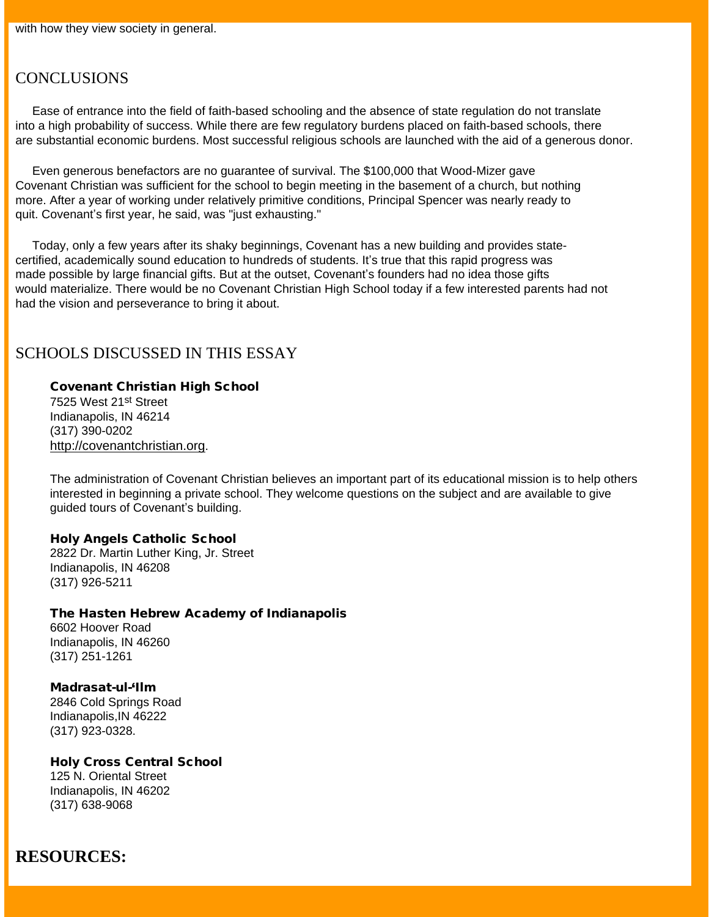### **CONCLUSIONS**

 Ease of entrance into the field of faith-based schooling and the absence of state regulation do not translate into a high probability of success. While there are few regulatory burdens placed on faith-based schools, there are substantial economic burdens. Most successful religious schools are launched with the aid of a generous donor.

 Even generous benefactors are no guarantee of survival. The \$100,000 that Wood-Mizer gave Covenant Christian was sufficient for the school to begin meeting in the basement of a church, but nothing more. After a year of working under relatively primitive conditions, Principal Spencer was nearly ready to quit. Covenant's first year, he said, was "just exhausting."

 Today, only a few years after its shaky beginnings, Covenant has a new building and provides statecertified, academically sound education to hundreds of students. It's true that this rapid progress was made possible by large financial gifts. But at the outset, Covenant's founders had no idea those gifts would materialize. There would be no Covenant Christian High School today if a few interested parents had not had the vision and perseverance to bring it about.

### SCHOOLS DISCUSSED IN THIS ESSAY

### Covenant Christian High School

7525 West 21st Street Indianapolis, IN 46214 (317) 390-0202 [http://covenantchristian.org](http://covenantchristian.org/).

The administration of Covenant Christian believes an important part of its educational mission is to help others interested in beginning a private school. They welcome questions on the subject and are available to give guided tours of Covenant's building.

#### Holy Angels Catholic School

2822 Dr. Martin Luther King, Jr. Street Indianapolis, IN 46208 (317) 926-5211

#### The Hasten Hebrew Academy of Indianapolis

6602 Hoover Road Indianapolis, IN 46260 (317) 251-1261

Madrasat-ul-'Ilm 2846 Cold Springs Road Indianapolis,IN 46222 (317) 923-0328.

Holy Cross Central School 125 N. Oriental Street Indianapolis, IN 46202 (317) 638-9068

# **RESOURCES:**